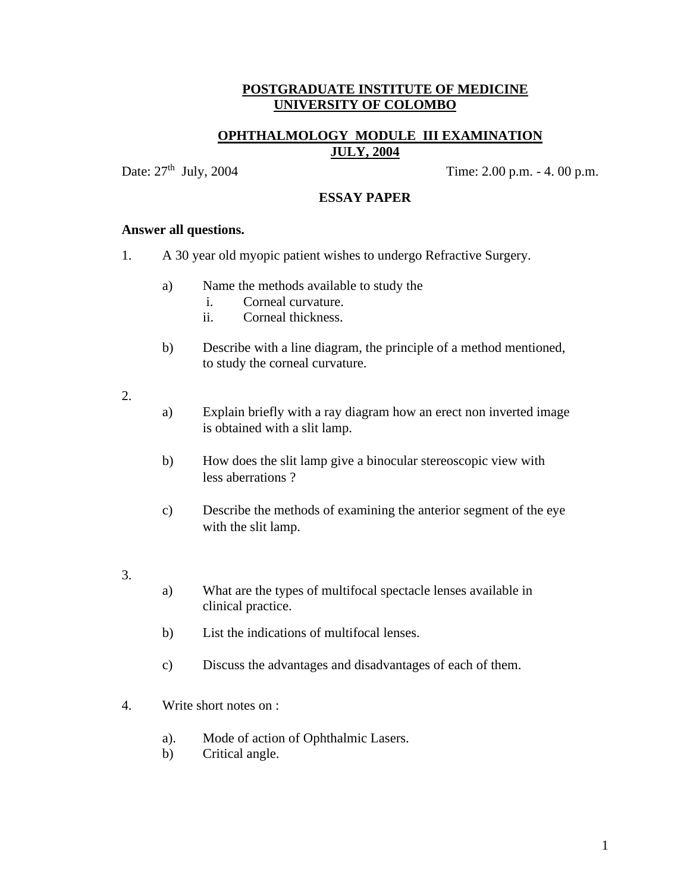### **OPHTHALMOLOGY MODULE III EXAMINATION JULY, 2004**

Date:  $27<sup>th</sup>$  July, 2004 Time: 2.00 p.m. - 4. 00 p.m.

#### **ESSAY PAPER**

#### **Answer all questions.**

- 1. A 30 year old myopic patient wishes to undergo Refractive Surgery.
	- a) Name the methods available to study the
		- i. Corneal curvature.
		- ii. Corneal thickness.
	- b) Describe with a line diagram, the principle of a method mentioned, to study the corneal curvature.

#### 2.

- a) Explain briefly with a ray diagram how an erect non inverted image is obtained with a slit lamp.
- b) How does the slit lamp give a binocular stereoscopic view with less aberrations ?
- c) Describe the methods of examining the anterior segment of the eye with the slit lamp.

# 3.

- a) What are the types of multifocal spectacle lenses available in clinical practice.
- b) List the indications of multifocal lenses.
- c) Discuss the advantages and disadvantages of each of them.
- 4. Write short notes on :
	- a). Mode of action of Ophthalmic Lasers.
	- b) Critical angle.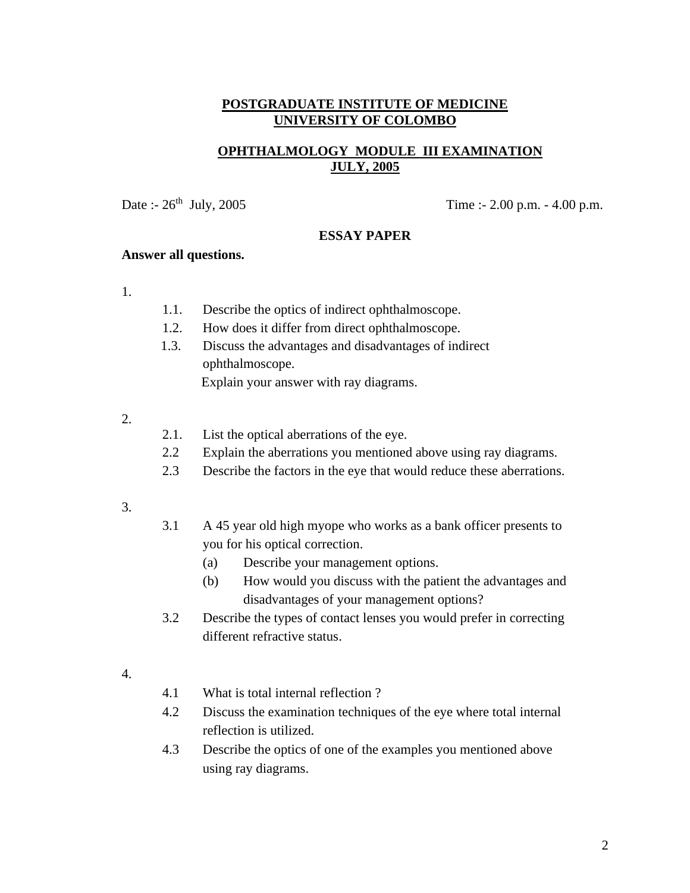# **OPHTHALMOLOGY MODULE III EXAMINATION JULY, 2005**

Date :-  $26^{th}$  July,  $2005$  Time :-  $2.00$  p.m. -  $4.00$  p.m.

#### **ESSAY PAPER**

### **Answer all questions.**

- 1.
- 1.1. Describe the optics of indirect ophthalmoscope.
- 1.2. How does it differ from direct ophthalmoscope.
- 1.3. Discuss the advantages and disadvantages of indirect ophthalmoscope. Explain your answer with ray diagrams.
- 2.
- 2.1. List the optical aberrations of the eye.
- 2.2 Explain the aberrations you mentioned above using ray diagrams.
- 2.3 Describe the factors in the eye that would reduce these aberrations.
- 3.
- 3.1 A 45 year old high myope who works as a bank officer presents to you for his optical correction.
	- (a) Describe your management options.
	- (b) How would you discuss with the patient the advantages and disadvantages of your management options?
- 3.2 Describe the types of contact lenses you would prefer in correcting different refractive status.
- 4.
- 4.1 What is total internal reflection ?
- 4.2 Discuss the examination techniques of the eye where total internal reflection is utilized.
- 4.3 Describe the optics of one of the examples you mentioned above using ray diagrams.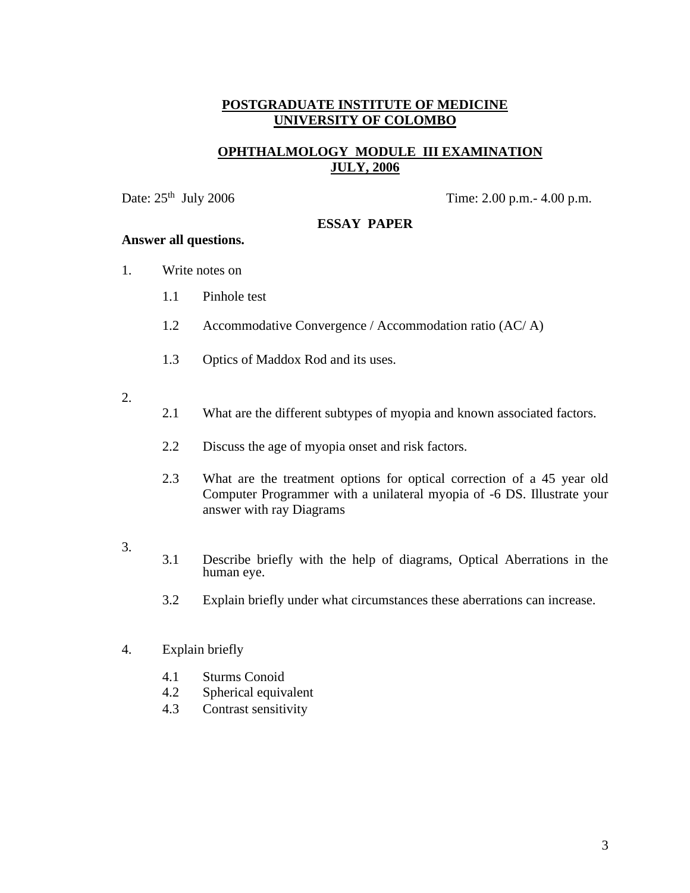# **OPHTHALMOLOGY MODULE III EXAMINATION JULY, 2006**

Date:  $25<sup>th</sup>$  July 2006 Time: 2.00 p.m. - 4.00 p.m.

### **ESSAY PAPER**

#### **Answer all questions.**

- 1. Write notes on
	- 1.1 Pinhole test
	- 1.2 Accommodative Convergence / Accommodation ratio (AC/ A)
	- 1.3 Optics of Maddox Rod and its uses.
- 2.
- 2.1 What are the different subtypes of myopia and known associated factors.
- 2.2 Discuss the age of myopia onset and risk factors.
- 2.3 What are the treatment options for optical correction of a 45 year old Computer Programmer with a unilateral myopia of -6 DS. Illustrate your answer with ray Diagrams
- 3.
- 3.1 Describe briefly with the help of diagrams, Optical Aberrations in the human eye.
- 3.2 Explain briefly under what circumstances these aberrations can increase.
- 4. Explain briefly
	- 4.1 Sturms Conoid
	- 4.2 Spherical equivalent
	- 4.3 Contrast sensitivity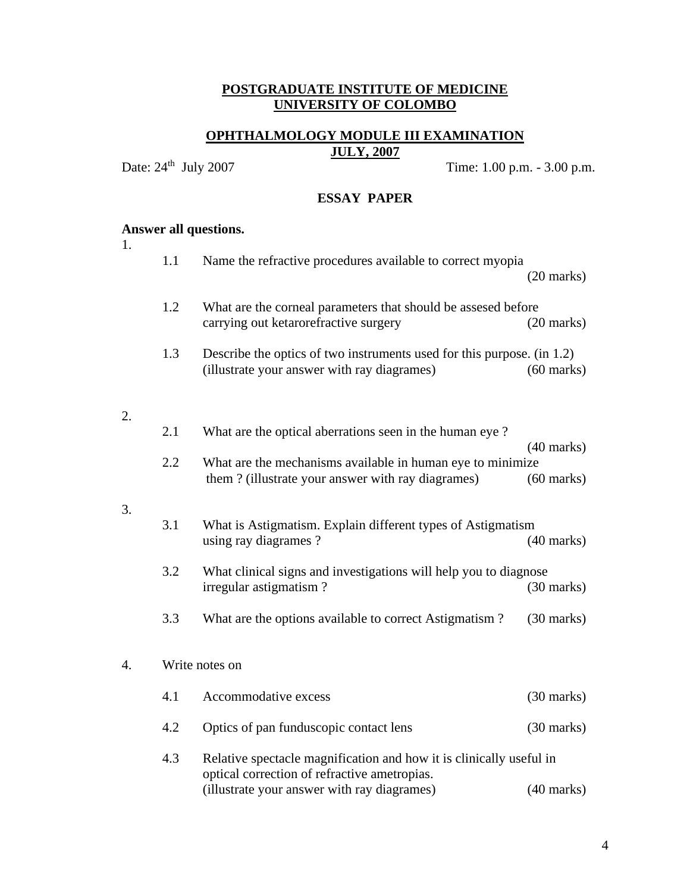# **OPHTHALMOLOGY MODULE III EXAMINATION JULY, 2007**

Date:  $24^{\text{th}}$  July 2007

Time: 1.00 p.m. - 3.00 p.m.

#### **ESSAY PAPER**

# **Answer all questions.**

1.

2.

3.

|    | 1.1 | Name the refractive procedures available to correct myopia                                                              | $(20 \text{ marks})$ |
|----|-----|-------------------------------------------------------------------------------------------------------------------------|----------------------|
|    | 1.2 | What are the corneal parameters that should be assesed before<br>carrying out ketarorefractive surgery                  | $(20$ marks)         |
|    | 1.3 | Describe the optics of two instruments used for this purpose. $(in 1.2)$<br>(illustrate your answer with ray diagrames) | $(60 \text{ marks})$ |
| 2. |     |                                                                                                                         |                      |
|    | 2.1 | What are the optical aberrations seen in the human eye?                                                                 | $(40 \text{ marks})$ |
|    | 2.2 | What are the mechanisms available in human eye to minimize<br>them? (illustrate your answer with ray diagrames)         | $(60 \text{ marks})$ |
| 3. |     |                                                                                                                         |                      |
|    | 3.1 | What is Astigmatism. Explain different types of Astigmatism<br>using ray diagrames?                                     | $(40$ marks)         |
|    | 3.2 | What clinical signs and investigations will help you to diagnose<br>irregular astigmatism?                              | $(30 \text{ marks})$ |
|    | 3.3 | What are the options available to correct Astigmatism?                                                                  | $(30 \text{ marks})$ |
| 4. |     | Write notes on                                                                                                          |                      |
|    | 4.1 | Accommodative excess                                                                                                    | $(30 \text{ marks})$ |
|    | 4.2 | Optics of pan funduscopic contact lens                                                                                  | $(30 \text{ marks})$ |
|    | 4.3 | Relative spectacle magnification and how it is clinically useful in<br>optical correction of refractive ametropias.     |                      |
|    |     | (illustrate your answer with ray diagrames)                                                                             | $(40 \text{ marks})$ |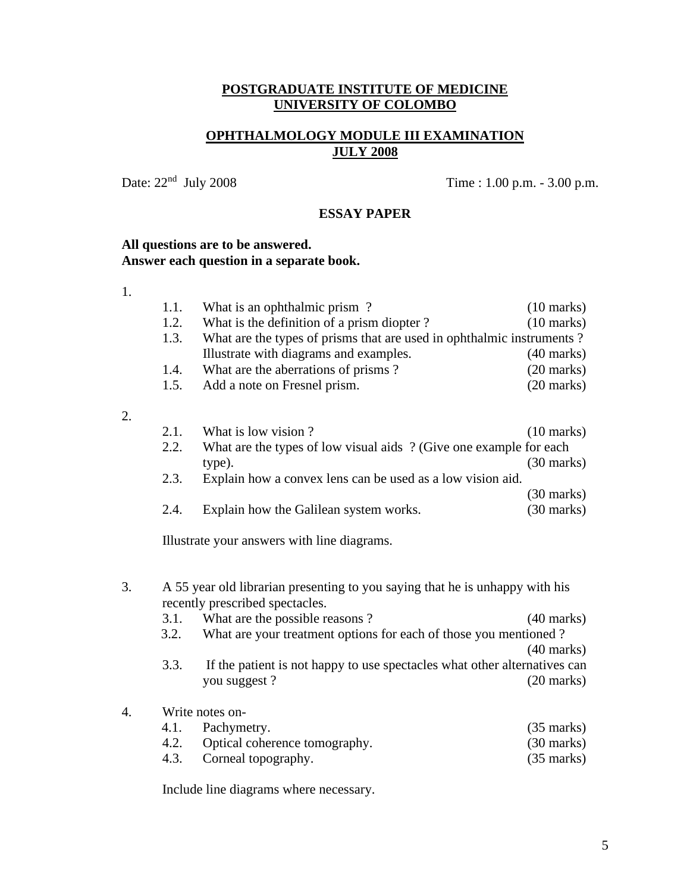# **OPHTHALMOLOGY MODULE III EXAMINATION JULY 2008**

Date:  $22<sup>nd</sup>$  July 2008

Time :  $1.00$  p.m. -  $3.00$  p.m.

# **ESSAY PAPER**

## **All questions are to be answered. Answer each question in a separate book.**

| $\sim$ |
|--------|

2.

|    | 1.1. | What is an ophthalmic prism?                                                                                    | $(10 \text{ marks})$ |
|----|------|-----------------------------------------------------------------------------------------------------------------|----------------------|
|    | 1.2. | What is the definition of a prism diopter?                                                                      | $(10 \text{ marks})$ |
|    | 1.3. | What are the types of prisms that are used in ophthalmic instruments?                                           |                      |
|    |      | Illustrate with diagrams and examples.                                                                          | $(40 \text{ marks})$ |
|    | 1.4. | What are the aberrations of prisms?                                                                             | $(20 \text{ marks})$ |
|    | 1.5. | Add a note on Fresnel prism.                                                                                    | $(20 \text{ marks})$ |
|    |      |                                                                                                                 |                      |
| 2. |      |                                                                                                                 |                      |
|    | 2.1. | What is low vision?                                                                                             | $(10 \text{ marks})$ |
|    | 2.2. | What are the types of low visual aids ? (Give one example for each                                              |                      |
|    |      | type).                                                                                                          | $(30 \text{ marks})$ |
|    | 2.3. | Explain how a convex lens can be used as a low vision aid.                                                      |                      |
|    |      |                                                                                                                 | $(30 \text{ marks})$ |
|    | 2.4. | Explain how the Galilean system works.                                                                          | $(30 \text{ marks})$ |
|    |      |                                                                                                                 |                      |
|    |      | Illustrate your answers with line diagrams.                                                                     |                      |
|    |      |                                                                                                                 |                      |
| 3. |      |                                                                                                                 |                      |
|    |      | A 55 year old librarian presenting to you saying that he is unhappy with his<br>recently prescribed spectacles. |                      |
|    | 3.1. | What are the possible reasons?                                                                                  | $(40 \text{ marks})$ |
|    | 3.2. | What are your treatment options for each of those you mentioned?                                                |                      |
|    |      |                                                                                                                 | $(40 \text{ marks})$ |
|    | 3.3. | If the patient is not happy to use spectacles what other alternatives can                                       |                      |
|    |      | you suggest?                                                                                                    | $(20 \text{ marks})$ |
|    |      |                                                                                                                 |                      |
| 4. |      | Write notes on-                                                                                                 |                      |
|    |      | $\Lambda$ 1 Pachymetry                                                                                          | $(35 \text{ mark})$  |

| 4.1. Pachymetry.                   | $(35 \text{ marks})$ |
|------------------------------------|----------------------|
| 4.2. Optical coherence tomography. | $(30 \text{ marks})$ |
| 4.3. Corneal topography.           | $(35 \text{ marks})$ |

Include line diagrams where necessary.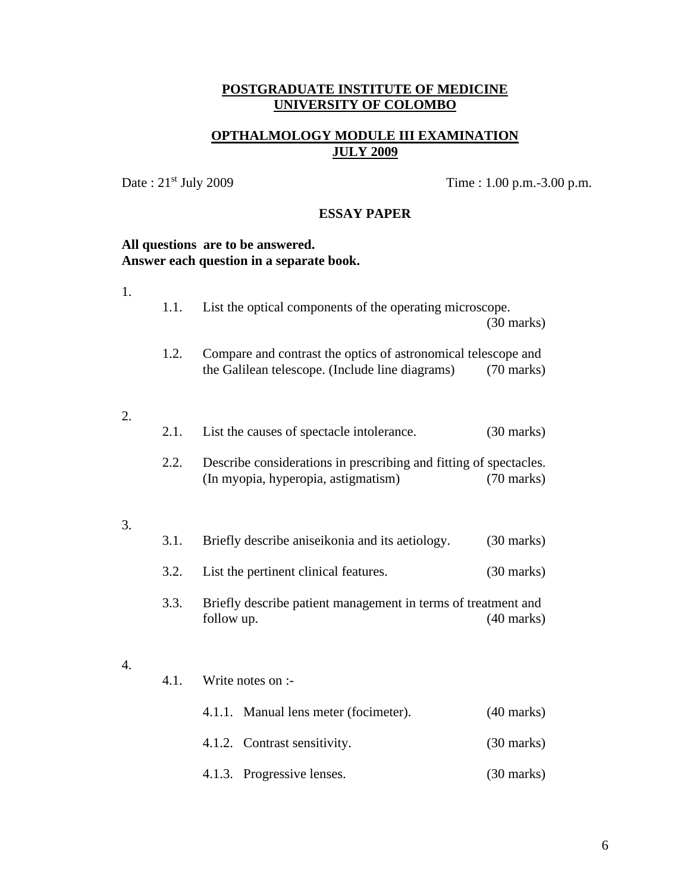# **OPTHALMOLOGY MODULE III EXAMINATION JULY 2009**

Date : 21<sup>st</sup> July 2009 Time : 1.00 p.m.-3.00 p.m.

# **ESSAY PAPER**

### **All questions are to be answered. Answer each question in a separate book.**

| $1.$ |      |                                                                                                                  |                      |
|------|------|------------------------------------------------------------------------------------------------------------------|----------------------|
|      | 1.1. | List the optical components of the operating microscope.                                                         | $(30 \text{ marks})$ |
|      | 1.2. | Compare and contrast the optics of astronomical telescope and<br>the Galilean telescope. (Include line diagrams) | $(70 \text{ marks})$ |
| 2.   | 2.1. | List the causes of spectacle intolerance.                                                                        | $(30 \text{ marks})$ |
|      | 2.2. | Describe considerations in prescribing and fitting of spectacles.<br>(In myopia, hyperopia, astigmatism)         | $(70 \text{ marks})$ |
| 3.   |      |                                                                                                                  |                      |
|      | 3.1. | Briefly describe aniseikonia and its aetiology.                                                                  | $(30 \text{ marks})$ |
|      | 3.2. | List the pertinent clinical features.                                                                            | $(30 \text{ marks})$ |
|      | 3.3. | Briefly describe patient management in terms of treatment and<br>follow up.                                      | $(40 \text{ marks})$ |
| 4.   |      |                                                                                                                  |                      |
|      | 4.1. | Write notes on :-                                                                                                |                      |
|      |      | 4.1.1. Manual lens meter (focimeter).                                                                            | $(40 \text{ marks})$ |
|      |      | 4.1.2. Contrast sensitivity.                                                                                     | $(30 \text{ marks})$ |
|      |      | 4.1.3. Progressive lenses.                                                                                       | $(30 \text{ marks})$ |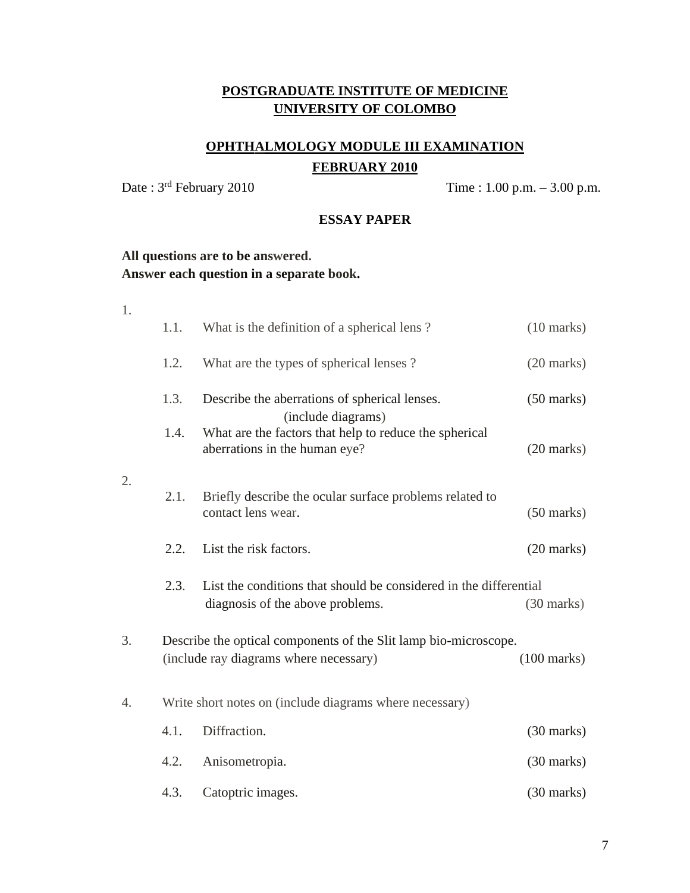# **OPHTHALMOLOGY MODULE III EXAMINATION FEBRUARY 2010**

Date :  $3^{rd}$  February 2010 Time : 1.00 p.m. – 3.00 p.m.

#### **ESSAY PAPER**

# **All questions are to be answered. Answer each question in a separate book.**

1. 1.1. What is the definition of a spherical lens ? (10 marks) 1.2. What are the types of spherical lenses ? (20 marks) 1.3. Describe the aberrations of spherical lenses. (50 marks) (include diagrams) 1.4. What are the factors that help to reduce the spherical aberrations in the human eye? (20 marks) 2. 2.1. Briefly describe the ocular surface problems related to contact lens wear. (50 marks) 2.2. List the risk factors. (20 marks) 2.3. List the conditions that should be considered in the differential diagnosis of the above problems. (30 marks) 3. Describe the optical components of the Slit lamp bio-microscope. (include ray diagrams where necessary) (100 marks) 4. Write short notes on (include diagrams where necessary) 4.1. Diffraction. (30 marks) 4.2. Anisometropia. (30 marks) 4.3. Catoptric images. (30 marks)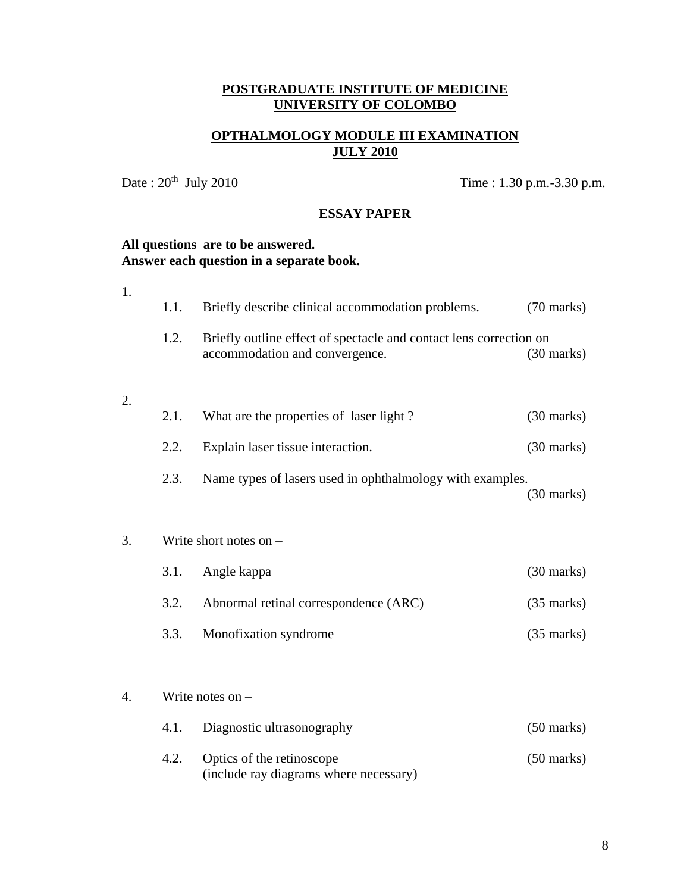# **OPTHALMOLOGY MODULE III EXAMINATION JULY 2010**

Date:  $20^{th}$  July 2010

Time : 1.30 p.m. -3.30 p.m.

### **ESSAY PAPER**

### **All questions are to be answered. Answer each question in a separate book.**

| 1. |      |                                                                                                      |                      |
|----|------|------------------------------------------------------------------------------------------------------|----------------------|
|    | 1.1. | Briefly describe clinical accommodation problems.                                                    | $(70 \text{ marks})$ |
|    | 1.2. | Briefly outline effect of spectacle and contact lens correction on<br>accommodation and convergence. | $(30 \text{ marks})$ |
| 2. |      |                                                                                                      |                      |
|    | 2.1. | What are the properties of laser light?                                                              | $(30 \text{ marks})$ |
|    | 2.2. | Explain laser tissue interaction.                                                                    | $(30 \text{ marks})$ |
|    | 2.3. | Name types of lasers used in ophthalmology with examples.                                            | $(30 \text{ marks})$ |
| 3. |      | Write short notes on $-$                                                                             |                      |
|    | 3.1. | Angle kappa                                                                                          | $(30 \text{ marks})$ |
|    | 3.2. | Abnormal retinal correspondence (ARC)                                                                | $(35 \text{ marks})$ |
|    | 3.3. | Monofixation syndrome                                                                                | $(35$ marks)         |
| 4. |      | Write notes on $-$                                                                                   |                      |
|    | 4.1. | Diagnostic ultrasonography                                                                           | $(50 \text{ marks})$ |
|    | 4.2. | Optics of the retinoscope<br>(include ray diagrams where necessary)                                  | $(50 \text{ marks})$ |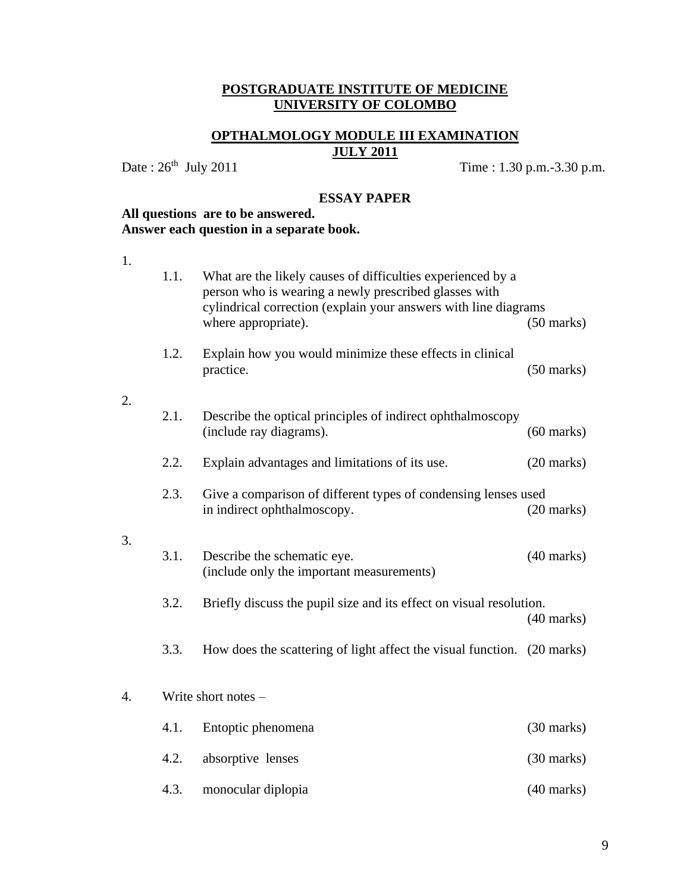# **OPTHALMOLOGY MODULE III EXAMINATION JULY 2011**

Date:  $26^{th}$  July 2011

Time : 1.30 p.m.-3.30 p.m.

#### **ESSAY PAPER**

# **All questions are to be answered. Answer each question in a separate book.**

1.

2.

3.

|    | 1.1. | What are the likely causes of difficulties experienced by a<br>person who is wearing a newly prescribed glasses with<br>cylindrical correction (explain your answers with line diagrams |                      |
|----|------|-----------------------------------------------------------------------------------------------------------------------------------------------------------------------------------------|----------------------|
|    |      | where appropriate).                                                                                                                                                                     | $(50 \text{ marks})$ |
|    | 1.2. | Explain how you would minimize these effects in clinical<br>practice.                                                                                                                   | $(50 \text{ marks})$ |
| 2. |      |                                                                                                                                                                                         |                      |
|    | 2.1. | Describe the optical principles of indirect ophthalmoscopy<br>(include ray diagrams).                                                                                                   | $(60$ marks)         |
|    | 2.2. | Explain advantages and limitations of its use.                                                                                                                                          | $(20 \text{ marks})$ |
|    | 2.3. | Give a comparison of different types of condensing lenses used<br>in indirect ophthalmoscopy.                                                                                           | $(20$ marks)         |
| 3. |      |                                                                                                                                                                                         |                      |
|    | 3.1. | Describe the schematic eye.<br>(include only the important measurements)                                                                                                                | $(40$ marks)         |
|    | 3.2. | Briefly discuss the pupil size and its effect on visual resolution.                                                                                                                     | $(40$ marks)         |
|    | 3.3. | How does the scattering of light affect the visual function. (20 marks)                                                                                                                 |                      |
| 4. |      | Write short notes -                                                                                                                                                                     |                      |
|    | 4.1. | Entoptic phenomena                                                                                                                                                                      | $(30 \text{ marks})$ |
|    | 4.2. | absorptive lenses                                                                                                                                                                       | $(30 \text{ marks})$ |

4.3. monocular diplopia (40 marks)